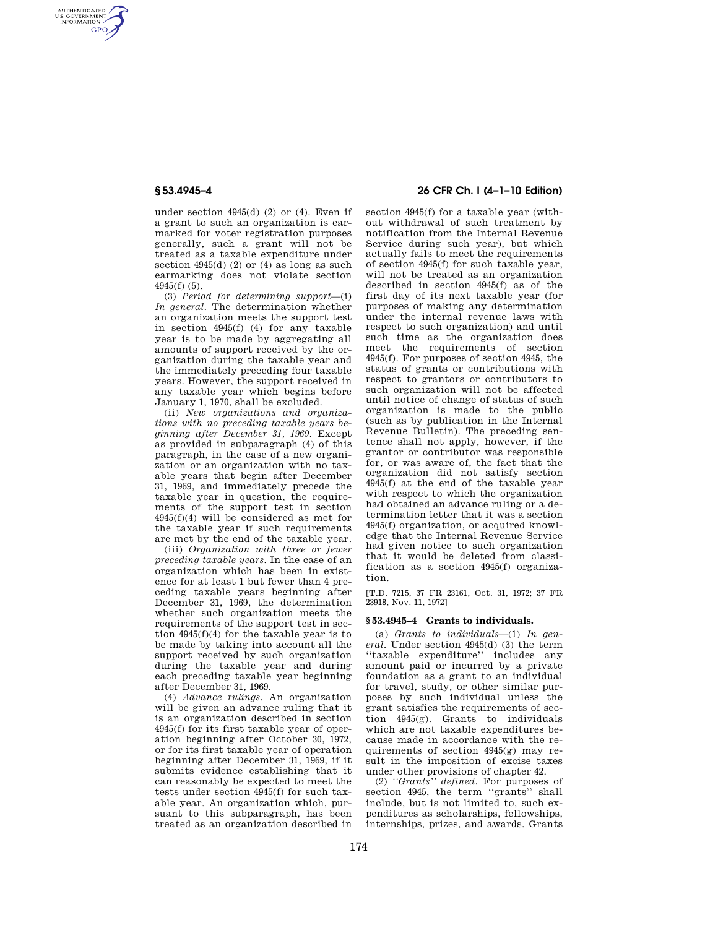AUTHENTICATED<br>U.S. GOVERNMENT<br>INFORMATION **GPO** 

> under section 4945(d) (2) or (4). Even if a grant to such an organization is earmarked for voter registration purposes generally, such a grant will not be treated as a taxable expenditure under section 4945(d) (2) or (4) as long as such earmarking does not violate section 4945(f) (5).

> (3) *Period for determining support*—(i) *In general.* The determination whether an organization meets the support test in section 4945(f) (4) for any taxable year is to be made by aggregating all amounts of support received by the organization during the taxable year and the immediately preceding four taxable years. However, the support received in any taxable year which begins before January 1, 1970, shall be excluded.

> (ii) *New organizations and organizations with no preceding taxable years beginning after December 31, 1969.* Except as provided in subparagraph (4) of this paragraph, in the case of a new organization or an organization with no taxable years that begin after December 31, 1969, and immediately precede the taxable year in question, the requirements of the support test in section 4945(f)(4) will be considered as met for the taxable year if such requirements are met by the end of the taxable year.

> (iii) *Organization with three or fewer preceding taxable years.* In the case of an organization which has been in existence for at least 1 but fewer than 4 preceding taxable years beginning after December 31, 1969, the determination whether such organization meets the requirements of the support test in section 4945(f)(4) for the taxable year is to be made by taking into account all the support received by such organization during the taxable year and during each preceding taxable year beginning after December 31, 1969.

> (4) *Advance rulings.* An organization will be given an advance ruling that it is an organization described in section 4945(f) for its first taxable year of operation beginning after October 30, 1972, or for its first taxable year of operation beginning after December 31, 1969, if it submits evidence establishing that it can reasonably be expected to meet the tests under section 4945(f) for such taxable year. An organization which, pursuant to this subparagraph, has been treated as an organization described in

## **§ 53.4945–4 26 CFR Ch. I (4–1–10 Edition)**

section 4945(f) for a taxable year (without withdrawal of such treatment by notification from the Internal Revenue Service during such year), but which actually fails to meet the requirements of section 4945(f) for such taxable year, will not be treated as an organization described in section 4945(f) as of the first day of its next taxable year (for purposes of making any determination under the internal revenue laws with respect to such organization) and until such time as the organization does meet the requirements of section 4945(f). For purposes of section 4945, the status of grants or contributions with respect to grantors or contributors to such organization will not be affected until notice of change of status of such organization is made to the public (such as by publication in the Internal Revenue Bulletin). The preceding sentence shall not apply, however, if the grantor or contributor was responsible for, or was aware of, the fact that the organization did not satisfy section 4945(f) at the end of the taxable year with respect to which the organization had obtained an advance ruling or a determination letter that it was a section 4945(f) organization, or acquired knowledge that the Internal Revenue Service had given notice to such organization that it would be deleted from classification as a section 4945(f) organization.

[T.D. 7215, 37 FR 23161, Oct. 31, 1972; 37 FR 23918, Nov. 11, 1972]

#### **§ 53.4945–4 Grants to individuals.**

(a) *Grants to individuals*—(1) *In general.* Under section 4945(d) (3) the term ''taxable expenditure'' includes any amount paid or incurred by a private foundation as a grant to an individual for travel, study, or other similar purposes by such individual unless the grant satisfies the requirements of section 4945(g). Grants to individuals which are not taxable expenditures because made in accordance with the requirements of section 4945(g) may result in the imposition of excise taxes under other provisions of chapter 42.

(2) *''Grants'' defined.* For purposes of section 4945, the term "grants" shall include, but is not limited to, such expenditures as scholarships, fellowships, internships, prizes, and awards. Grants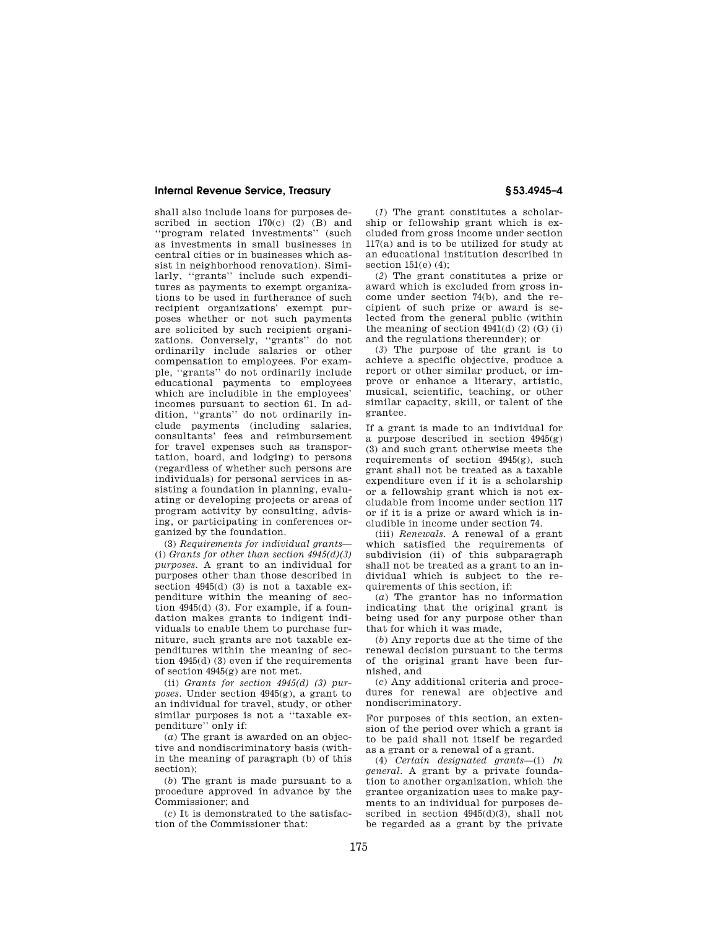shall also include loans for purposes described in section  $170(c)$  (2) (B) and ''program related investments'' (such as investments in small businesses in central cities or in businesses which assist in neighborhood renovation). Similarly, ''grants'' include such expenditures as payments to exempt organizations to be used in furtherance of such recipient organizations' exempt purposes whether or not such payments are solicited by such recipient organizations. Conversely, ''grants'' do not ordinarily include salaries or other compensation to employees. For example, ''grants'' do not ordinarily include educational payments to employees which are includible in the employees' incomes pursuant to section 61. In addition, ''grants'' do not ordinarily include payments (including salaries, consultants' fees and reimbursement for travel expenses such as transportation, board, and lodging) to persons (regardless of whether such persons are individuals) for personal services in assisting a foundation in planning, evaluating or developing projects or areas of program activity by consulting, advising, or participating in conferences organized by the foundation.

(3) *Requirements for individual grants*— (i) *Grants for other than section 4945(d)(3) purposes.* A grant to an individual for purposes other than those described in section 4945(d) (3) is not a taxable expenditure within the meaning of section 4945(d) (3). For example, if a foundation makes grants to indigent individuals to enable them to purchase furniture, such grants are not taxable expenditures within the meaning of section 4945(d) (3) even if the requirements of section 4945(g) are not met.

(ii) *Grants for section 4945(d) (3) purposes.* Under section 4945(g), a grant to an individual for travel, study, or other similar purposes is not a ''taxable expenditure'' only if:

(*a*) The grant is awarded on an objective and nondiscriminatory basis (within the meaning of paragraph (b) of this section);

(*b*) The grant is made pursuant to a procedure approved in advance by the Commissioner; and

(*c*) It is demonstrated to the satisfaction of the Commissioner that:

(*1*) The grant constitutes a scholarship or fellowship grant which is excluded from gross income under section 117(a) and is to be utilized for study at an educational institution described in section 151(e) (4);

(*2*) The grant constitutes a prize or award which is excluded from gross income under section 74(b), and the recipient of such prize or award is selected from the general public (within the meaning of section  $4941(d)$  (2) (G) (i) and the regulations thereunder); or

(*3*) The purpose of the grant is to achieve a specific objective, produce a report or other similar product, or improve or enhance a literary, artistic, musical, scientific, teaching, or other similar capacity, skill, or talent of the grantee.

If a grant is made to an individual for a purpose described in section  $4945(g)$ (3) and such grant otherwise meets the requirements of section 4945(g), such grant shall not be treated as a taxable expenditure even if it is a scholarship or a fellowship grant which is not excludable from income under section 117 or if it is a prize or award which is includible in income under section 74.

(iii) *Renewals.* A renewal of a grant which satisfied the requirements of subdivision (ii) of this subparagraph shall not be treated as a grant to an individual which is subject to the requirements of this section, if:

(*a*) The grantor has no information indicating that the original grant is being used for any purpose other than that for which it was made,

(*b*) Any reports due at the time of the renewal decision pursuant to the terms of the original grant have been furnished, and

(*c*) Any additional criteria and procedures for renewal are objective and nondiscriminatory.

For purposes of this section, an extension of the period over which a grant is to be paid shall not itself be regarded as a grant or a renewal of a grant.

(4) *Certain designated grants*—(i) *In general.* A grant by a private foundation to another organization, which the grantee organization uses to make payments to an individual for purposes described in section 4945(d)(3), shall not be regarded as a grant by the private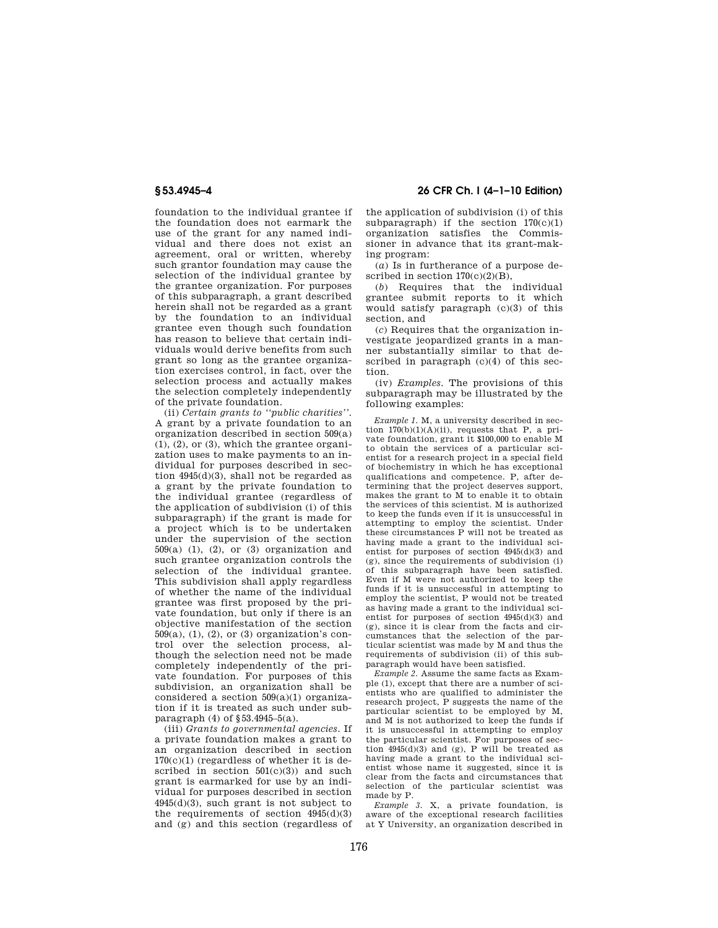foundation to the individual grantee if the foundation does not earmark the use of the grant for any named individual and there does not exist an agreement, oral or written, whereby such grantor foundation may cause the selection of the individual grantee by the grantee organization. For purposes of this subparagraph, a grant described herein shall not be regarded as a grant by the foundation to an individual grantee even though such foundation has reason to believe that certain individuals would derive benefits from such grant so long as the grantee organization exercises control, in fact, over the selection process and actually makes the selection completely independently of the private foundation.

(ii) *Certain grants to ''public charities''.*  A grant by a private foundation to an organization described in section 509(a)  $(1), (2),$  or  $(3),$  which the grantee organization uses to make payments to an individual for purposes described in section 4945(d)(3), shall not be regarded as a grant by the private foundation to the individual grantee (regardless of the application of subdivision (i) of this subparagraph) if the grant is made for a project which is to be undertaken under the supervision of the section  $509(a)$  (1), (2), or (3) organization and such grantee organization controls the selection of the individual grantee. This subdivision shall apply regardless of whether the name of the individual grantee was first proposed by the private foundation, but only if there is an objective manifestation of the section  $509(a)$ , (1), (2), or (3) organization's control over the selection process, although the selection need not be made completely independently of the private foundation. For purposes of this subdivision, an organization shall be considered a section 509(a)(1) organization if it is treated as such under subparagraph (4) of §53.4945–5(a).

(iii) *Grants to governmental agencies.* If a private foundation makes a grant to an organization described in section  $170(c)(1)$  (regardless of whether it is described in section  $501(c)(3)$  and such grant is earmarked for use by an individual for purposes described in section 4945(d)(3), such grant is not subject to the requirements of section  $4945(d)(3)$ and (g) and this section (regardless of

## **§ 53.4945–4 26 CFR Ch. I (4–1–10 Edition)**

the application of subdivision (i) of this subparagraph) if the section  $170(c)(1)$ organization satisfies the Commissioner in advance that its grant-making program:

(*a*) Is in furtherance of a purpose described in section  $170(c)(2)(B)$ .

(*b*) Requires that the individual grantee submit reports to it which would satisfy paragraph (c)(3) of this section, and

(*c*) Requires that the organization investigate jeopardized grants in a manner substantially similar to that described in paragraph (c)(4) of this section.

(iv) *Examples.* The provisions of this subparagraph may be illustrated by the following examples:

*Example 1.* M, a university described in section  $170(b)(1)(A)(ii)$ , requests that P, a private foundation, grant it \$100,000 to enable M to obtain the services of a particular scientist for a research project in a special field of biochemistry in which he has exceptional qualifications and competence. P, after determining that the project deserves support, makes the grant to M to enable it to obtain the services of this scientist. M is authorized to keep the funds even if it is unsuccessful in attempting to employ the scientist. Under these circumstances P will not be treated as having made a grant to the individual scientist for purposes of section 4945(d)(3) and (g), since the requirements of subdivision (i) of this subparagraph have been satisfied. Even if M were not authorized to keep the funds if it is unsuccessful in attempting to employ the scientist, P would not be treated as having made a grant to the individual scientist for purposes of section 4945(d)(3) and (g), since it is clear from the facts and circumstances that the selection of the particular scientist was made by M and thus the requirements of subdivision (ii) of this subparagraph would have been satisfied.

*Example 2.* Assume the same facts as Example (1), except that there are a number of scientists who are qualified to administer the research project, P suggests the name of the particular scientist to be employed by M, and M is not authorized to keep the funds if it is unsuccessful in attempting to employ the particular scientist. For purposes of section  $4945(d)(3)$  and (g), P will be treated as having made a grant to the individual scientist whose name it suggested, since it is clear from the facts and circumstances that selection of the particular scientist was made by P.

*Example 3.* X, a private foundation, is aware of the exceptional research facilities at Y University, an organization described in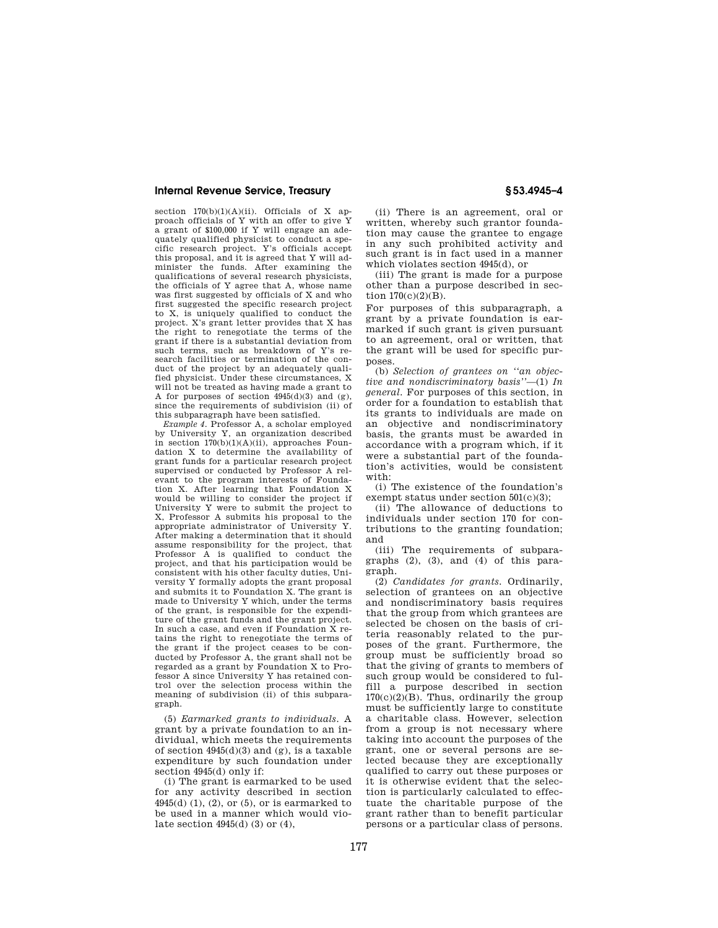section  $170(b)(1)(A)(ii)$ . Officials of X approach officials of Y with an offer to give Y a grant of \$100,000 if Y will engage an adequately qualified physicist to conduct a specific research project. Y's officials accept this proposal, and it is agreed that Y will administer the funds. After examining the qualifications of several research physicists, the officials of Y agree that A, whose name was first suggested by officials of X and who first suggested the specific research project to X, is uniquely qualified to conduct the project. X's grant letter provides that X has the right to renegotiate the terms of the grant if there is a substantial deviation from such terms, such as breakdown of Y's research facilities or termination of the conduct of the project by an adequately qualified physicist. Under these circumstances, X will not be treated as having made a grant to A for purposes of section  $4945(d)(3)$  and  $(e)$ . since the requirements of subdivision (ii) of this subparagraph have been satisfied.

*Example 4.* Professor A, a scholar employed by University Y, an organization described in section  $170(b)(1)(A)(ii)$ , approaches Foundation X to determine the availability of grant funds for a particular research project supervised or conducted by Professor A relevant to the program interests of Foundation X. After learning that Foundation X would be willing to consider the project if University Y were to submit the project to X, Professor A submits his proposal to the appropriate administrator of University Y. After making a determination that it should assume responsibility for the project, that Professor A is qualified to conduct the project, and that his participation would be consistent with his other faculty duties, University Y formally adopts the grant proposal and submits it to Foundation X. The grant is made to University Y which, under the terms of the grant, is responsible for the expenditure of the grant funds and the grant project. In such a case, and even if Foundation X retains the right to renegotiate the terms of the grant if the project ceases to be conducted by Professor A, the grant shall not be regarded as a grant by Foundation X to Professor A since University Y has retained control over the selection process within the meaning of subdivision (ii) of this subparagraph.

(5) *Earmarked grants to individuals.* A grant by a private foundation to an individual, which meets the requirements of section  $4945(d)(3)$  and  $(g)$ , is a taxable expenditure by such foundation under section 4945(d) only if:

(i) The grant is earmarked to be used for any activity described in section  $4945(d)$  (1), (2), or (5), or is earmarked to be used in a manner which would violate section 4945(d) (3) or (4),

(ii) There is an agreement, oral or written, whereby such grantor foundation may cause the grantee to engage in any such prohibited activity and such grant is in fact used in a manner which violates section 4945(d), or

(iii) The grant is made for a purpose other than a purpose described in section 170(c)(2)(B).

For purposes of this subparagraph, a grant by a private foundation is earmarked if such grant is given pursuant to an agreement, oral or written, that the grant will be used for specific purposes.

(b) *Selection of grantees on ''an objective and nondiscriminatory basis''*—(1) *In general.* For purposes of this section, in order for a foundation to establish that its grants to individuals are made on an objective and nondiscriminatory basis, the grants must be awarded in accordance with a program which, if it were a substantial part of the foundation's activities, would be consistent with:

(i) The existence of the foundation's exempt status under section 501(c)(3);

(ii) The allowance of deductions to individuals under section 170 for contributions to the granting foundation; and

(iii) The requirements of subparagraphs (2), (3), and (4) of this paragraph.

(2) *Candidates for grants.* Ordinarily, selection of grantees on an objective and nondiscriminatory basis requires that the group from which grantees are selected be chosen on the basis of criteria reasonably related to the purposes of the grant. Furthermore, the group must be sufficiently broad so that the giving of grants to members of such group would be considered to fulfill a purpose described in section  $170(c)(2)(B)$ . Thus, ordinarily the group must be sufficiently large to constitute a charitable class. However, selection from a group is not necessary where taking into account the purposes of the grant, one or several persons are selected because they are exceptionally qualified to carry out these purposes or it is otherwise evident that the selection is particularly calculated to effectuate the charitable purpose of the grant rather than to benefit particular persons or a particular class of persons.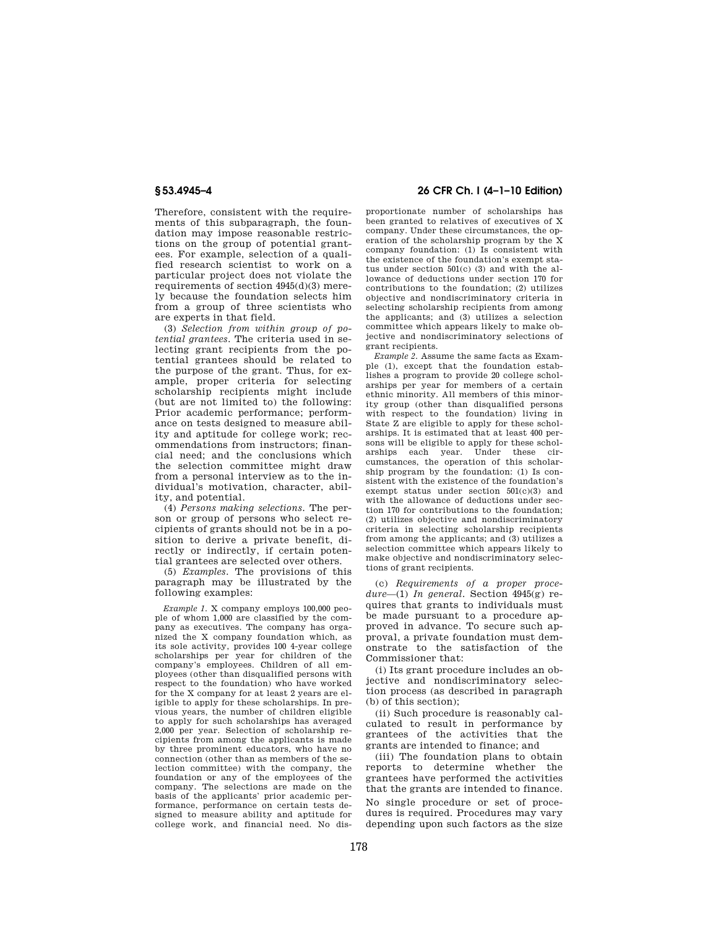Therefore, consistent with the requirements of this subparagraph, the foundation may impose reasonable restrictions on the group of potential grantees. For example, selection of a qualified research scientist to work on a particular project does not violate the requirements of section 4945(d)(3) merely because the foundation selects him from a group of three scientists who are experts in that field.

(3) *Selection from within group of potential grantees.* The criteria used in selecting grant recipients from the potential grantees should be related to the purpose of the grant. Thus, for example, proper criteria for selecting scholarship recipients might include (but are not limited to) the following: Prior academic performance; performance on tests designed to measure ability and aptitude for college work; recommendations from instructors; financial need; and the conclusions which the selection committee might draw from a personal interview as to the individual's motivation, character, ability, and potential.

(4) *Persons making selections.* The person or group of persons who select recipients of grants should not be in a position to derive a private benefit, directly or indirectly, if certain potential grantees are selected over others.

(5) *Examples.* The provisions of this paragraph may be illustrated by the following examples:

*Example 1.* X company employs 100,000 people of whom 1,000 are classified by the company as executives. The company has organized the X company foundation which, as its sole activity, provides 100 4-year college scholarships per year for children of the company's employees. Children of all employees (other than disqualified persons with respect to the foundation) who have worked for the X company for at least 2 years are eligible to apply for these scholarships. In previous years, the number of children eligible to apply for such scholarships has averaged 2,000 per year. Selection of scholarship recipients from among the applicants is made by three prominent educators, who have no connection (other than as members of the selection committee) with the company, the foundation or any of the employees of the company. The selections are made on the basis of the applicants' prior academic performance, performance on certain tests designed to measure ability and aptitude for college work, and financial need. No dis-

## **§ 53.4945–4 26 CFR Ch. I (4–1–10 Edition)**

proportionate number of scholarships has been granted to relatives of executives of X company. Under these circumstances, the operation of the scholarship program by the X company foundation: (1) Is consistent with the existence of the foundation's exempt status under section 501(c) (3) and with the allowance of deductions under section 170 for contributions to the foundation; (2) utilizes objective and nondiscriminatory criteria in selecting scholarship recipients from among the applicants; and (3) utilizes a selection committee which appears likely to make objective and nondiscriminatory selections of grant recipients.

*Example 2.* Assume the same facts as Example (1), except that the foundation establishes a program to provide 20 college scholarships per year for members of a certain ethnic minority. All members of this minority group (other than disqualified persons with respect to the foundation) living in State Z are eligible to apply for these scholarships. It is estimated that at least 400 persons will be eligible to apply for these scholarships each year. Under these circumstances, the operation of this scholarship program by the foundation: (1) Is consistent with the existence of the foundation's exempt status under section 501(c)(3) and with the allowance of deductions under section 170 for contributions to the foundation; (2) utilizes objective and nondiscriminatory criteria in selecting scholarship recipients from among the applicants; and (3) utilizes a selection committee which appears likely to make objective and nondiscriminatory selections of grant recipients.

(c) *Requirements of a proper procedure*—(1) *In general.* Section 4945(g) requires that grants to individuals must be made pursuant to a procedure approved in advance. To secure such approval, a private foundation must demonstrate to the satisfaction of the Commissioner that:

(i) Its grant procedure includes an objective and nondiscriminatory selection process (as described in paragraph (b) of this section);

(ii) Such procedure is reasonably calculated to result in performance by grantees of the activities that the grants are intended to finance; and

(iii) The foundation plans to obtain reports to determine whether the grantees have performed the activities that the grants are intended to finance.

No single procedure or set of procedures is required. Procedures may vary depending upon such factors as the size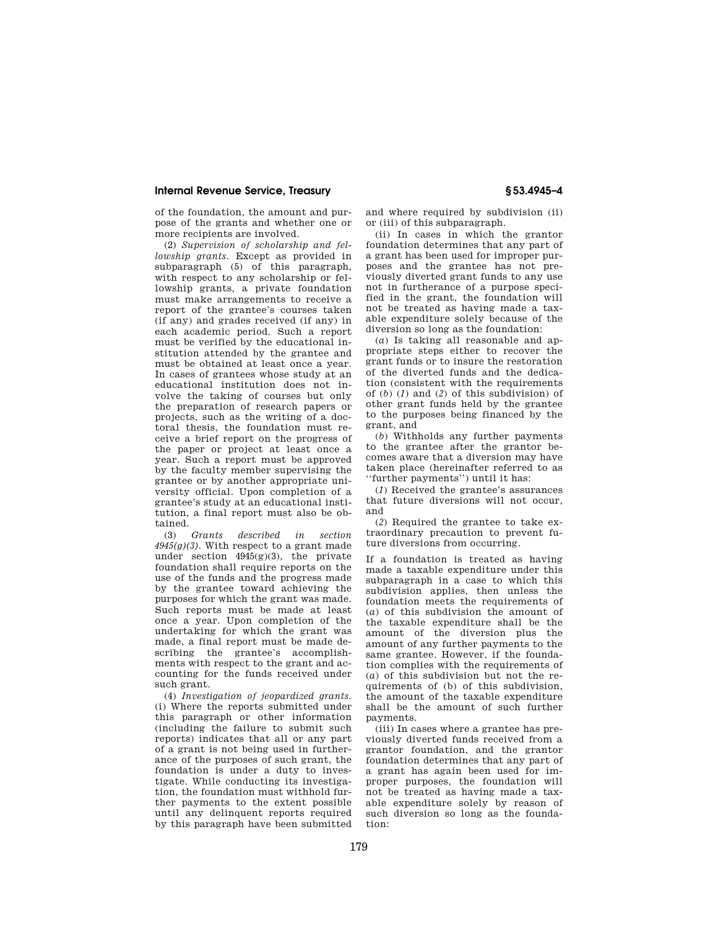of the foundation, the amount and purpose of the grants and whether one or more recipients are involved.

(2) *Supervision of scholarship and fellowship grants.* Except as provided in subparagraph (5) of this paragraph, with respect to any scholarship or fellowship grants, a private foundation must make arrangements to receive a report of the grantee's courses taken (if any) and grades received (if any) in each academic period. Such a report must be verified by the educational institution attended by the grantee and must be obtained at least once a year. In cases of grantees whose study at an educational institution does not involve the taking of courses but only the preparation of research papers or projects, such as the writing of a doctoral thesis, the foundation must receive a brief report on the progress of the paper or project at least once a year. Such a report must be approved by the faculty member supervising the grantee or by another appropriate university official. Upon completion of a grantee's study at an educational institution, a final report must also be obtained.

(3) *Grants described in section 4945(g)(3).* With respect to a grant made under section  $4945(g)(3)$ , the private foundation shall require reports on the use of the funds and the progress made by the grantee toward achieving the purposes for which the grant was made. Such reports must be made at least once a year. Upon completion of the undertaking for which the grant was made, a final report must be made describing the grantee's accomplishments with respect to the grant and accounting for the funds received under such grant.

(4) *Investigation of jeopardized grants.*  (i) Where the reports submitted under this paragraph or other information (including the failure to submit such reports) indicates that all or any part of a grant is not being used in furtherance of the purposes of such grant, the foundation is under a duty to investigate. While conducting its investigation, the foundation must withhold further payments to the extent possible until any delinquent reports required by this paragraph have been submitted

and where required by subdivision (ii) or (iii) of this subparagraph.

(ii) In cases in which the grantor foundation determines that any part of a grant has been used for improper purposes and the grantee has not previously diverted grant funds to any use not in furtherance of a purpose specified in the grant, the foundation will not be treated as having made a taxable expenditure solely because of the diversion so long as the foundation:

(*a*) Is taking all reasonable and appropriate steps either to recover the grant funds or to insure the restoration of the diverted funds and the dedication (consistent with the requirements of (*b*) (*1*) and (*2*) of this subdivision) of other grant funds held by the grantee to the purposes being financed by the grant, and

(*b*) Withholds any further payments to the grantee after the grantor becomes aware that a diversion may have taken place (hereinafter referred to as ''further payments'') until it has:

(*1*) Received the grantee's assurances that future diversions will not occur, and

(*2*) Required the grantee to take extraordinary precaution to prevent future diversions from occurring.

If a foundation is treated as having made a taxable expenditure under this subparagraph in a case to which this subdivision applies, then unless the foundation meets the requirements of (*a*) of this subdivision the amount of the taxable expenditure shall be the amount of the diversion plus the amount of any further payments to the same grantee. However, if the foundation complies with the requirements of (*a*) of this subdivision but not the requirements of (b) of this subdivision, the amount of the taxable expenditure shall be the amount of such further payments.

(iii) In cases where a grantee has previously diverted funds received from a grantor foundation, and the grantor foundation determines that any part of a grant has again been used for improper purposes, the foundation will not be treated as having made a taxable expenditure solely by reason of such diversion so long as the foundation: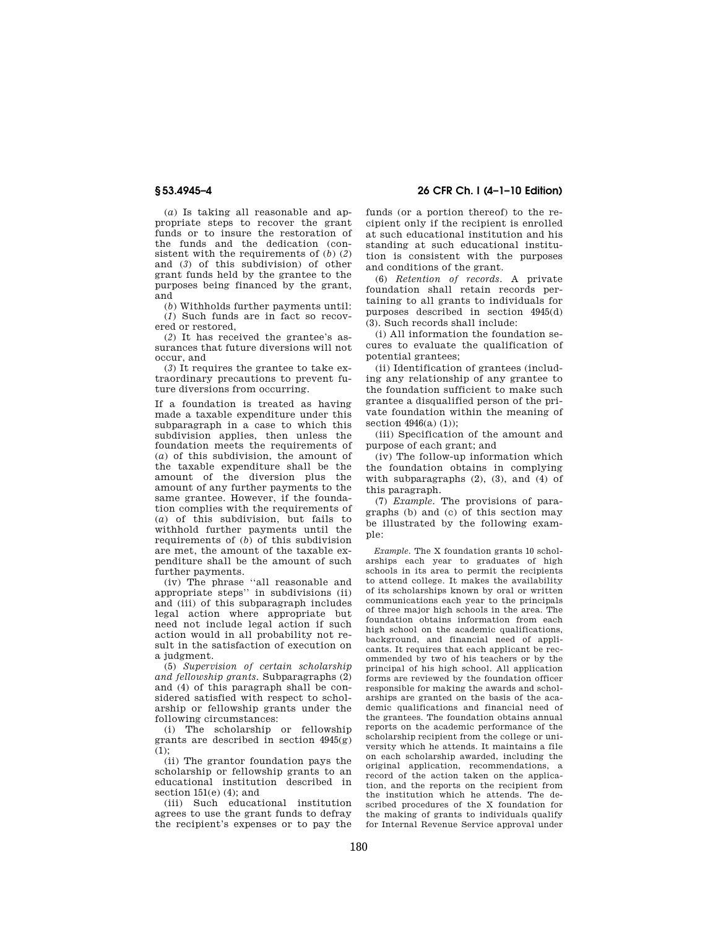(*a*) Is taking all reasonable and appropriate steps to recover the grant funds or to insure the restoration of the funds and the dedication (consistent with the requirements of (*b*) (*2*) and (*3*) of this subdivision) of other grant funds held by the grantee to the purposes being financed by the grant, and

(*b*) Withholds further payments until: (*1*) Such funds are in fact so recovered or restored,

(*2*) It has received the grantee's assurances that future diversions will not occur, and

(*3*) It requires the grantee to take extraordinary precautions to prevent future diversions from occurring.

If a foundation is treated as having made a taxable expenditure under this subparagraph in a case to which this subdivision applies, then unless the foundation meets the requirements of (*a*) of this subdivision, the amount of the taxable expenditure shall be the amount of the diversion plus the amount of any further payments to the same grantee. However, if the foundation complies with the requirements of (*a*) of this subdivision, but fails to withhold further payments until the requirements of (*b*) of this subdivision are met, the amount of the taxable expenditure shall be the amount of such further payments.

(iv) The phrase ''all reasonable and appropriate steps'' in subdivisions (ii) and (iii) of this subparagraph includes legal action where appropriate but need not include legal action if such action would in all probability not result in the satisfaction of execution on a judgment.

(5) *Supervision of certain scholarship and fellowship grants.* Subparagraphs (2) and (4) of this paragraph shall be considered satisfied with respect to scholarship or fellowship grants under the following circumstances:

(i) The scholarship or fellowship grants are described in section  $4945(g)$ (1);

(ii) The grantor foundation pays the scholarship or fellowship grants to an educational institution described in section  $151(e)$  (4); and

(iii) Such educational institution agrees to use the grant funds to defray the recipient's expenses or to pay the

**§ 53.4945–4 26 CFR Ch. I (4–1–10 Edition)** 

funds (or a portion thereof) to the recipient only if the recipient is enrolled at such educational institution and his standing at such educational institution is consistent with the purposes and conditions of the grant.

(6) *Retention of records.* A private foundation shall retain records pertaining to all grants to individuals for purposes described in section 4945(d) (3). Such records shall include:

(i) All information the foundation secures to evaluate the qualification of potential grantees;

(ii) Identification of grantees (including any relationship of any grantee to the foundation sufficient to make such grantee a disqualified person of the private foundation within the meaning of section  $4946(a)$  (1));

(iii) Specification of the amount and purpose of each grant; and

(iv) The follow-up information which the foundation obtains in complying with subparagraphs  $(2)$ ,  $(3)$ , and  $(4)$  of this paragraph.

(7) *Example.* The provisions of paragraphs (b) and (c) of this section may be illustrated by the following example:

*Example.* The X foundation grants 10 scholarships each year to graduates of high schools in its area to permit the recipients to attend college. It makes the availability of its scholarships known by oral or written communications each year to the principals of three major high schools in the area. The foundation obtains information from each high school on the academic qualifications, background, and financial need of applicants. It requires that each applicant be recommended by two of his teachers or by the principal of his high school. All application forms are reviewed by the foundation officer responsible for making the awards and scholarships are granted on the basis of the academic qualifications and financial need of the grantees. The foundation obtains annual reports on the academic performance of the scholarship recipient from the college or university which he attends. It maintains a file on each scholarship awarded, including the original application, recommendations, a record of the action taken on the application, and the reports on the recipient from the institution which he attends. The described procedures of the X foundation for the making of grants to individuals qualify for Internal Revenue Service approval under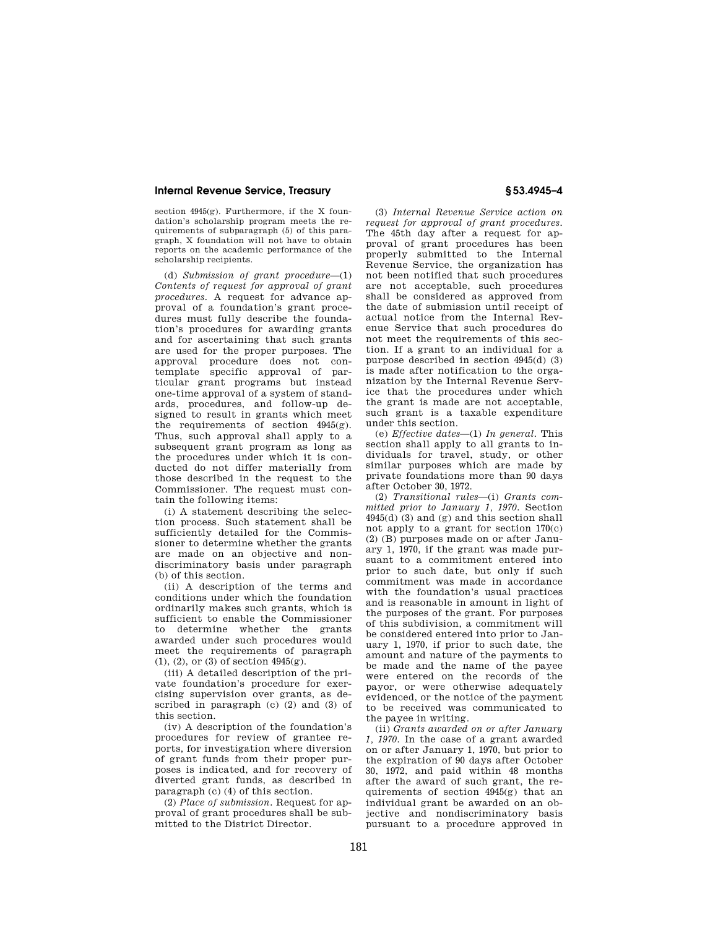section  $4945(e)$ . Furthermore, if the X foundation's scholarship program meets the requirements of subparagraph (5) of this paragraph, X foundation will not have to obtain reports on the academic performance of the scholarship recipients.

(d) *Submission of grant procedure*—(1) *Contents of request for approval of grant procedures.* A request for advance approval of a foundation's grant procedures must fully describe the foundation's procedures for awarding grants and for ascertaining that such grants are used for the proper purposes. The approval procedure does not contemplate specific approval of particular grant programs but instead one-time approval of a system of standards, procedures, and follow-up designed to result in grants which meet the requirements of section 4945(g). Thus, such approval shall apply to a subsequent grant program as long as the procedures under which it is conducted do not differ materially from those described in the request to the Commissioner. The request must contain the following items:

(i) A statement describing the selection process. Such statement shall be sufficiently detailed for the Commissioner to determine whether the grants are made on an objective and nondiscriminatory basis under paragraph (b) of this section.

(ii) A description of the terms and conditions under which the foundation ordinarily makes such grants, which is sufficient to enable the Commissioner to determine whether the grants awarded under such procedures would meet the requirements of paragraph (1), (2), or (3) of section 4945(g).

(iii) A detailed description of the private foundation's procedure for exercising supervision over grants, as described in paragraph (c) (2) and (3) of this section.

(iv) A description of the foundation's procedures for review of grantee reports, for investigation where diversion of grant funds from their proper purposes is indicated, and for recovery of diverted grant funds, as described in paragraph (c) (4) of this section.

(2) *Place of submission.* Request for approval of grant procedures shall be submitted to the District Director.

(3) *Internal Revenue Service action on request for approval of grant procedures.*  The 45th day after a request for approval of grant procedures has been properly submitted to the Internal Revenue Service, the organization has not been notified that such procedures are not acceptable, such procedures shall be considered as approved from the date of submission until receipt of actual notice from the Internal Revenue Service that such procedures do not meet the requirements of this section. If a grant to an individual for a purpose described in section 4945(d) (3) is made after notification to the organization by the Internal Revenue Service that the procedures under which the grant is made are not acceptable, such grant is a taxable expenditure under this section.

(e) *Effective dates*—(1) *In general.* This section shall apply to all grants to individuals for travel, study, or other similar purposes which are made by private foundations more than 90 days after October 30, 1972.

(2) *Transitional rules*—(i) *Grants committed prior to January 1, 1970.* Section 4945(d) (3) and (g) and this section shall not apply to a grant for section 170(c) (2) (B) purposes made on or after January 1, 1970, if the grant was made pursuant to a commitment entered into prior to such date, but only if such commitment was made in accordance with the foundation's usual practices and is reasonable in amount in light of the purposes of the grant. For purposes of this subdivision, a commitment will be considered entered into prior to January 1, 1970, if prior to such date, the amount and nature of the payments to be made and the name of the payee were entered on the records of the payor, or were otherwise adequately evidenced, or the notice of the payment to be received was communicated to the payee in writing.

(ii) *Grants awarded on or after January 1, 1970.* In the case of a grant awarded on or after January 1, 1970, but prior to the expiration of 90 days after October 30, 1972, and paid within 48 months after the award of such grant, the requirements of section  $4945(g)$  that an individual grant be awarded on an objective and nondiscriminatory basis pursuant to a procedure approved in